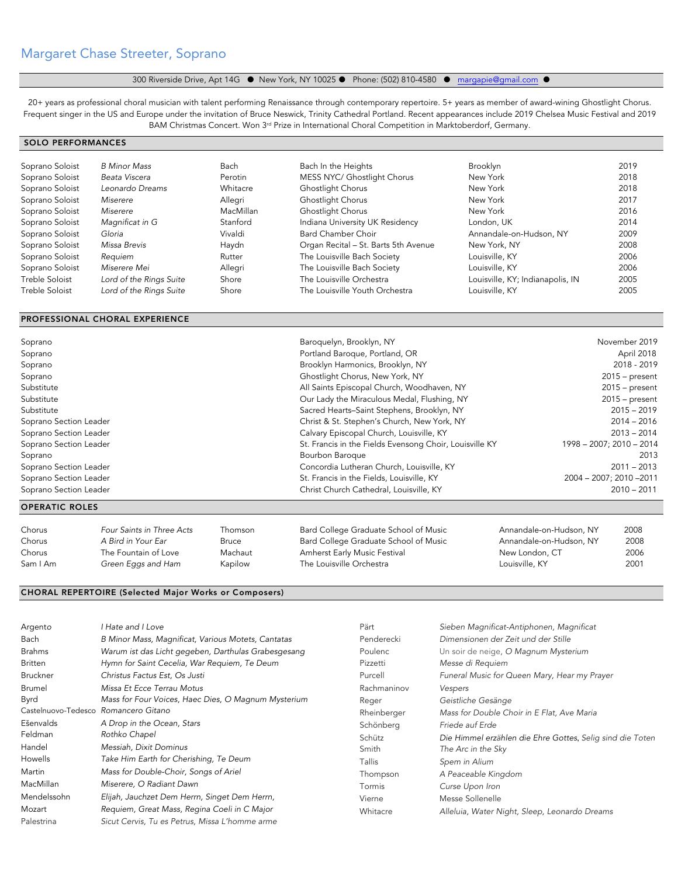# Margaret Chase Streeter, Soprano

# 300 Riverside Drive, Apt 14G · New York, NY 10025 · Phone: (502) 810-4580 · margapie@gmail.com ·

20+ years as professional choral musician with talent performing Renaissance through contemporary repertoire. 5+ years as member of award-wining Ghostlight Chorus. Frequent singer in the US and Europe under the invitation of Bruce Neswick, Trinity Cathedral Portland. Recent appearances include 2019 Chelsea Music Festival and 2019 BAM Christmas Concert. Won 3<sup>rd</sup> Prize in International Choral Competition in Marktoberdorf, Germany.

## SOLO PERFORMANCES

| Soprano Soloist | <b>B</b> Minor Mass     | Bach      | Bach In the Heights                  | <b>Brooklyn</b>                  | 2019 |
|-----------------|-------------------------|-----------|--------------------------------------|----------------------------------|------|
| Soprano Soloist | Beata Viscera           | Perotin   | MESS NYC/ Ghostlight Chorus          | New York                         | 2018 |
| Soprano Soloist | Leonardo Dreams         | Whitacre  | Ghostlight Chorus                    | New York                         | 2018 |
| Soprano Soloist | Miserere                | Allegri   | Ghostlight Chorus                    | New York                         | 2017 |
| Soprano Soloist | Miserere                | MacMillan | Ghostlight Chorus                    | New York                         | 2016 |
| Soprano Soloist | Magnificat in G         | Stanford  | Indiana University UK Residency      | London, UK                       | 2014 |
| Soprano Soloist | Gloria                  | Vivaldi   | <b>Bard Chamber Choir</b>            | Annandale-on-Hudson, NY          | 2009 |
| Soprano Soloist | Missa Brevis            | Haydn     | Organ Recital - St. Barts 5th Avenue | New York, NY                     | 2008 |
| Soprano Soloist | Requiem                 | Rutter    | The Louisville Bach Society          | Louisville, KY                   | 2006 |
| Soprano Soloist | Miserere Mei            | Allegri   | The Louisville Bach Society          | Louisville, KY                   | 2006 |
| Treble Soloist  | Lord of the Rings Suite | Shore     | The Louisville Orchestra             | Louisville, KY; Indianapolis, IN | 2005 |
| Treble Soloist  | Lord of the Rings Suite | Shore     | The Louisville Youth Orchestra       | Louisville, KY                   | 2005 |

#### PROFESSIONAL CHORAL EXPERIENCE

| <b>OPERATIC ROLES</b>  |                                                         |                          |
|------------------------|---------------------------------------------------------|--------------------------|
| Soprano Section Leader | Christ Church Cathedral, Louisville, KY                 | $2010 - 2011$            |
| Soprano Section Leader | St. Francis in the Fields, Louisville, KY               | 2004 - 2007; 2010 - 2011 |
| Soprano Section Leader | Concordia Lutheran Church, Louisville, KY               | $2011 - 2013$            |
| Soprano                | Bourbon Baroque                                         | 2013                     |
| Soprano Section Leader | St. Francis in the Fields Evensong Choir, Louisville KY | 1998 - 2007; 2010 - 2014 |
| Soprano Section Leader | Calvary Episcopal Church, Louisville, KY                | $2013 - 2014$            |
| Soprano Section Leader | Christ & St. Stephen's Church, New York, NY             | $2014 - 2016$            |
| Substitute             | Sacred Hearts-Saint Stephens, Brooklyn, NY              | $2015 - 2019$            |
| Substitute             | Our Lady the Miraculous Medal, Flushing, NY             | $2015$ – present         |
| Substitute             | All Saints Episcopal Church, Woodhaven, NY              | $2015$ – present         |
| Soprano                | Ghostlight Chorus, New York, NY                         | $2015$ – present         |
| Soprano                | Brooklyn Harmonics, Brooklyn, NY                        | 2018 - 2019              |
| Soprano                | Portland Baroque, Portland, OR                          | April 2018               |
| Soprano                | Baroquelyn, Brooklyn, NY                                | November 2019            |

| Chorus   | Four Saints in Three Acts | Thomson | Bard College Graduate School of Music | Annandale-on-Hudson, NY | 2008 |
|----------|---------------------------|---------|---------------------------------------|-------------------------|------|
| Chorus   | A Bird in Your Ear        | Bruce   | Bard College Graduate School of Music | Annandale-on-Hudson, NY | 2008 |
| Chorus   | The Fountain of Love      | Machaut | Amherst Early Music Festival          | New London, CT          | 2006 |
| Sam I Am | Green Eggs and Ham        | Kapilow | The Louisville Orchestra              | Louisville, KY          | 2001 |
|          |                           |         |                                       |                         |      |

## CHORAL REPERTOIRE (Selected Major Works or Composers)

| Argento<br>Bach<br><b>Brahms</b><br><b>Britten</b><br>Bruckner<br>Brumel<br>Byrd<br>Castelnuovo-Tedesco Romancero Gitano<br>Ešenvalds<br>Feldman<br>Handel<br>Howells<br>Martin<br>MacMillan<br>Mendelssohn<br>Mozart | I Hate and I Love<br>B Minor Mass, Magnificat, Various Motets, Cantatas<br>Warum ist das Licht gegeben, Darthulas Grabesgesang<br>Hymn for Saint Cecelia, War Requiem, Te Deum<br>Christus Factus Est, Os Justi<br>Missa Et Ecce Terrau Motus<br>Mass for Four Voices, Haec Dies, O Magnum Mysterium<br>A Drop in the Ocean, Stars<br>Rothko Chapel<br>Messiah, Dixit Dominus<br>Take Him Earth for Cherishing, Te Deum<br>Mass for Double-Choir, Songs of Ariel<br>Miserere, O Radiant Dawn<br>Elijah, Jauchzet Dem Herrn, Singet Dem Herrn,<br>Requiem, Great Mass, Regina Coeli in C Major | Pärt<br>Penderecki<br>Poulenc<br>Pizzetti<br>Purcell<br>Rachmaninov<br>Reger<br>Rheinberger<br>Schönberg<br>Schütz<br>Smith<br>Tallis<br>Thompson<br>Tormis<br>Vierne<br>Whitacre | Sieben Magnificat-Antiphonen, Magnificat<br>Dimensionen der Zeit und der Stille<br>Un soir de neige, O Magnum Mysterium<br>Messe di Requiem<br>Funeral Music for Queen Mary, Hear my Prayer<br>Vespers<br>Geistliche Gesänge<br>Mass for Double Choir in E Flat, Ave Maria<br>Friede auf Erde<br>Die Himmel erzählen die Ehre Gottes, Selig sind die Toten<br>The Arc in the Sky<br>Spem in Alium<br>A Peaceable Kingdom<br>Curse Upon Iron<br>Messe Sollenelle |
|-----------------------------------------------------------------------------------------------------------------------------------------------------------------------------------------------------------------------|-----------------------------------------------------------------------------------------------------------------------------------------------------------------------------------------------------------------------------------------------------------------------------------------------------------------------------------------------------------------------------------------------------------------------------------------------------------------------------------------------------------------------------------------------------------------------------------------------|-----------------------------------------------------------------------------------------------------------------------------------------------------------------------------------|-----------------------------------------------------------------------------------------------------------------------------------------------------------------------------------------------------------------------------------------------------------------------------------------------------------------------------------------------------------------------------------------------------------------------------------------------------------------|
| Palestrina                                                                                                                                                                                                            | Sicut Cervis, Tu es Petrus, Missa L'homme arme                                                                                                                                                                                                                                                                                                                                                                                                                                                                                                                                                |                                                                                                                                                                                   | Alleluia, Water Night, Sleep, Leonardo Dreams                                                                                                                                                                                                                                                                                                                                                                                                                   |